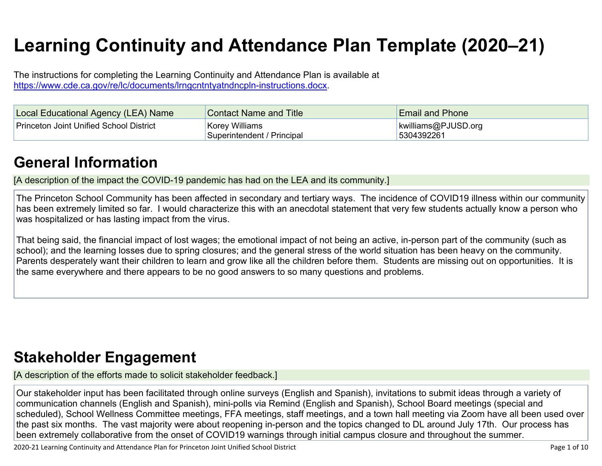# **Learning Continuity and Attendance Plan Template (2020–21)**

The instructions for completing the Learning Continuity and Attendance Plan is available at <https://www.cde.ca.gov/re/lc/documents/lrngcntntyatndncpln-instructions.docx>.

| Local Educational Agency (LEA) Name            | <b>Contact Name and Title</b>                       | <b>Email and Phone</b>            |
|------------------------------------------------|-----------------------------------------------------|-----------------------------------|
| <b>Princeton Joint Unified School District</b> | <b>Korey Williams</b><br>Superintendent / Principal | kwilliams@PJUSD.org<br>5304392261 |

### **General [Information](http://www.doc-tracking.com/screenshots/20LCP/Instructions/20LCPInstructions.htm#generalinformation)**

[A description of the impact the COVID-19 pandemic has had on the LEA and its community.]

The Princeton School Community has been affected in secondary and tertiary ways. The incidence of COVID19 illness within our community has been extremely limited so far. I would characterize this with an anecdotal statement that very few students actually know a person who was hospitalized or has lasting impact from the virus.

That being said, the financial impact of lost wages; the emotional impact of not being an active, in-person part of the community (such as school); and the learning losses due to spring closures; and the general stress of the world situation has been heavy on the community. Parents desperately want their children to learn and grow like all the children before them. Students are missing out on opportunities. It is the same everywhere and there appears to be no good answers to so many questions and problems.

### **Stakeholder [Engagement](http://www.doc-tracking.com/screenshots/20LCP/Instructions/20LCPInstructions.htm#stakeholderengagement)**

[A description of the efforts made to solicit stakeholder feedback.]

Our stakeholder input has been facilitated through online surveys (English and Spanish), invitations to submit ideas through a variety of communication channels (English and Spanish), mini-polls via Remind (English and Spanish), School Board meetings (special and scheduled), School Wellness Committee meetings, FFA meetings, staff meetings, and a town hall meeting via Zoom have all been used over the past six months. The vast majority were about reopening in-person and the topics changed to DL around July 17th. Our process has been extremely collaborative from the onset of COVID19 warnings through initial campus closure and throughout the summer.

2020-21 Learning Continuity and Attendance Plan for Princeton Joint Unified School District Page 1 of 10 Page 1 of 10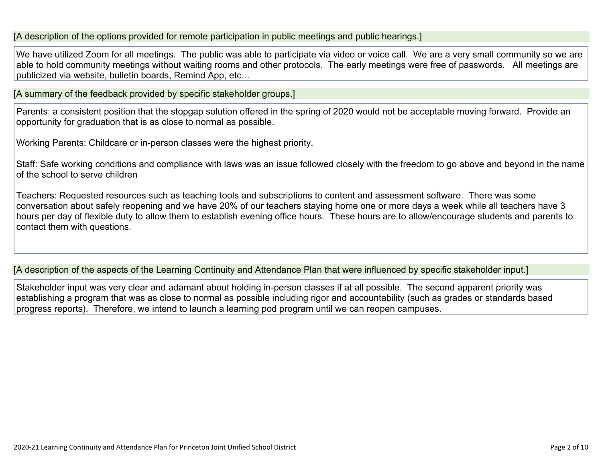[A description of the options provided for remote participation in public meetings and public hearings.]

We have utilized Zoom for all meetings. The public was able to participate via video or voice call. We are a very small community so we are able to hold community meetings without waiting rooms and other protocols. The early meetings were free of passwords. All meetings are publicized via website, bulletin boards, Remind App, etc…

[A summary of the feedback provided by specific stakeholder groups.]

Parents: a consistent position that the stopgap solution offered in the spring of 2020 would not be acceptable moving forward. Provide an opportunity for graduation that is as close to normal as possible.

Working Parents: Childcare or in-person classes were the highest priority.

Staff: Safe working conditions and compliance with laws was an issue followed closely with the freedom to go above and beyond in the name of the school to serve children

Teachers: Requested resources such as teaching tools and subscriptions to content and assessment software. There was some conversation about safely reopening and we have 20% of our teachers staying home one or more days a week while all teachers have 3 hours per day of flexible duty to allow them to establish evening office hours. These hours are to allow/encourage students and parents to contact them with questions.

[A description of the aspects of the Learning Continuity and Attendance Plan that were influenced by specific stakeholder input.]

Stakeholder input was very clear and adamant about holding in-person classes if at all possible. The second apparent priority was establishing a program that was as close to normal as possible including rigor and accountability (such as grades or standards based progress reports). Therefore, we intend to launch a learning pod program until we can reopen campuses.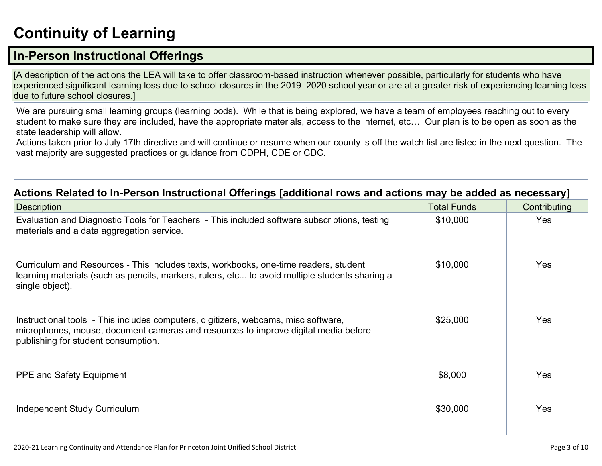# **[Continuity](http://www.doc-tracking.com/screenshots/20LCP/Instructions/20LCPInstructions.htm#ContinuityofLearning) of Learnin[g](http://www.doc-tracking.com/screenshots/20LCP/Instructions/20LCPInstructions.htm#ContinuityofLearning)**

### **In-Person [Instructional](http://www.doc-tracking.com/screenshots/20LCP/Instructions/20LCPInstructions.htm#ContinuityofLearning1) Offerings**

[A description of the actions the LEA will take to offer classroom-based instruction whenever possible, particularly for students who have experienced significant learning loss due to school closures in the 2019–2020 school year or are at a greater risk of experiencing learning loss due to future school closures.]

We are pursuing small learning groups (learning pods). While that is being explored, we have a team of employees reaching out to every student to make sure they are included, have the appropriate materials, access to the internet, etc… Our plan is to be open as soon as the state leadership will allow.

Actions taken prior to July 17th directive and will continue or resume when our county is off the watch list are listed in the next question. The vast majority are suggested practices or guidance from CDPH, CDE or CDC.

#### **Actions Related to In-Person [Instructional](http://www.doc-tracking.com/screenshots/20LCP/Instructions/20LCPInstructions.htm#ContinuityofLearning2) Offerings [additional rows and actions may be added as necessary]**

| <b>Description</b>                                                                                                                                                                                              | <b>Total Funds</b> | Contributing |
|-----------------------------------------------------------------------------------------------------------------------------------------------------------------------------------------------------------------|--------------------|--------------|
| Evaluation and Diagnostic Tools for Teachers - This included software subscriptions, testing<br>materials and a data aggregation service.                                                                       | \$10,000           | <b>Yes</b>   |
| Curriculum and Resources - This includes texts, workbooks, one-time readers, student<br>learning materials (such as pencils, markers, rulers, etc to avoid multiple students sharing a<br>single object).       | \$10,000           | <b>Yes</b>   |
| Instructional tools - This includes computers, digitizers, webcams, misc software,<br>microphones, mouse, document cameras and resources to improve digital media before<br>publishing for student consumption. | \$25,000           | <b>Yes</b>   |
| <b>PPE and Safety Equipment</b>                                                                                                                                                                                 | \$8,000            | <b>Yes</b>   |
| Independent Study Curriculum                                                                                                                                                                                    | \$30,000           | <b>Yes</b>   |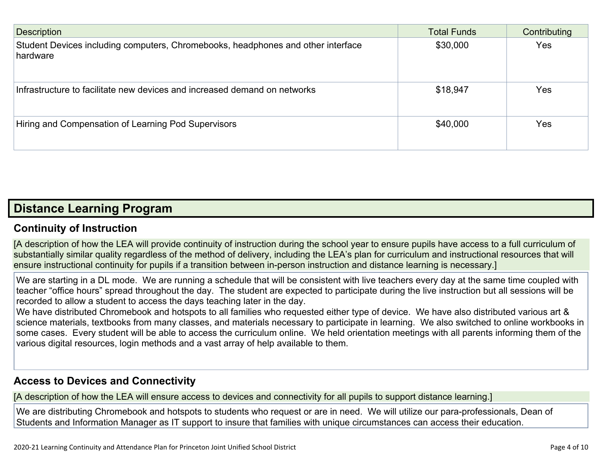| <b>Description</b>                                                                           | <b>Total Funds</b> | Contributing |
|----------------------------------------------------------------------------------------------|--------------------|--------------|
| Student Devices including computers, Chromebooks, headphones and other interface<br>hardware | \$30,000           | Yes          |
| Infrastructure to facilitate new devices and increased demand on networks                    | \$18,947           | Yes          |
| Hiring and Compensation of Learning Pod Supervisors                                          | \$40,000           | Yes          |

### **Distance [Learning](http://www.doc-tracking.com/screenshots/20LCP/Instructions/20LCPInstructions.htm#DistanceLearningProgram) Program**

#### **Continuity of [Instruction](http://www.doc-tracking.com/screenshots/20LCP/Instructions/20LCPInstructions.htm#DistanceLearningProgram1)**

[A description of how the LEA will provide continuity of instruction during the school year to ensure pupils have access to a full curriculum of substantially similar quality regardless of the method of delivery, including the LEA's plan for curriculum and instructional resources that will ensure instructional continuity for pupils if a transition between in-person instruction and distance learning is necessary.]

We are starting in a DL mode. We are running a schedule that will be consistent with live teachers every day at the same time coupled with teacher "office hours" spread throughout the day. The student are expected to participate during the live instruction but all sessions will be recorded to allow a student to access the days teaching later in the day.

We have distributed Chromebook and hotspots to all families who requested either type of device. We have also distributed various art & science materials, textbooks from many classes, and materials necessary to participate in learning. We also switched to online workbooks in some cases. Every student will be able to access the curriculum online. We held orientation meetings with all parents informing them of the various digital resources, login methods and a vast array of help available to them.

#### **Access to Devices and [Connectivity](http://www.doc-tracking.com/screenshots/20LCP/Instructions/20LCPInstructions.htm#DistanceLearningProgram2)**

[A description of how the LEA will ensure access to devices and connectivity for all pupils to support distance learning.]

We are distributing Chromebook and hotspots to students who request or are in need. We will utilize our para-professionals, Dean of Students and Information Manager as IT support to insure that families with unique circumstances can access their education.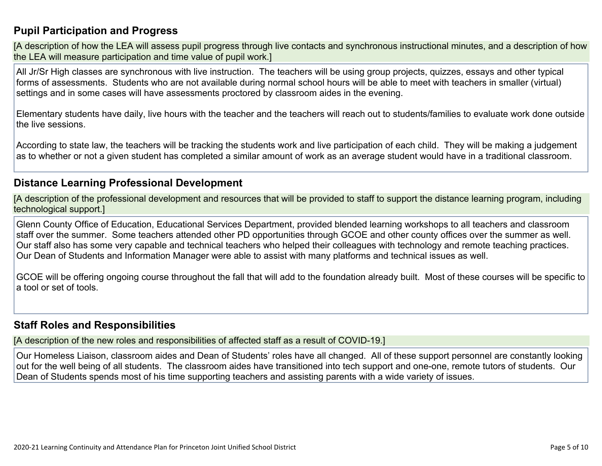#### **Pupil [Participation](http://www.doc-tracking.com/screenshots/20LCP/Instructions/20LCPInstructions.htm#DistanceLearningProgram3) and Progress**

[A description of how the LEA will assess pupil progress through live contacts and synchronous instructional minutes, and a description of how the LEA will measure participation and time value of pupil work.]

All Jr/Sr High classes are synchronous with live instruction. The teachers will be using group projects, quizzes, essays and other typical forms of assessments. Students who are not available during normal school hours will be able to meet with teachers in smaller (virtual) settings and in some cases will have assessments proctored by classroom aides in the evening.

Elementary students have daily, live hours with the teacher and the teachers will reach out to students/families to evaluate work done outside the live sessions.

According to state law, the teachers will be tracking the students work and live participation of each child. They will be making a judgement as to whether or not a given student has completed a similar amount of work as an average student would have in a traditional classroom.

#### **Distance Learning Professional [Development](http://www.doc-tracking.com/screenshots/20LCP/Instructions/20LCPInstructions.htm#DistanceLearningProgram4)**

[A description of the professional development and resources that will be provided to staff to support the distance learning program, including technological support.]

Glenn County Office of Education, Educational Services Department, provided blended learning workshops to all teachers and classroom staff over the summer. Some teachers attended other PD opportunities through GCOE and other county offices over the summer as well. Our staff also has some very capable and technical teachers who helped their colleagues with technology and remote teaching practices. Our Dean of Students and Information Manager were able to assist with many platforms and technical issues as well.

GCOE will be offering ongoing course throughout the fall that will add to the foundation already built. Most of these courses will be specific to a tool or set of tools.

#### **Staff Roles and [Responsibilities](http://www.doc-tracking.com/screenshots/20LCP/Instructions/20LCPInstructions.htm#DistanceLearningProgram5)**

[A description of the new roles and responsibilities of affected staff as a result of COVID-19.]

Our Homeless Liaison, classroom aides and Dean of Students' roles have all changed. All of these support personnel are constantly looking out for the well being of all students. The classroom aides have transitioned into tech support and one-one, remote tutors of students. Our Dean of Students spends most of his time supporting teachers and assisting parents with a wide variety of issues.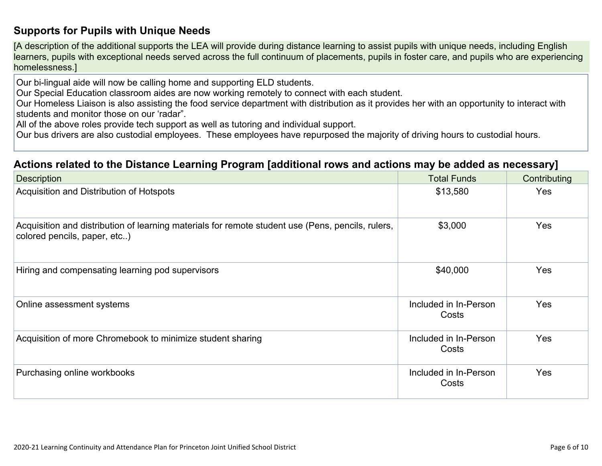#### **[Supports](http://www.doc-tracking.com/screenshots/20LCP/Instructions/20LCPInstructions.htm#DistanceLearningProgram6) for Pupils with Unique Needs**

[A description of the additional supports the LEA will provide during distance learning to assist pupils with unique needs, including English learners, pupils with exceptional needs served across the full continuum of placements, pupils in foster care, and pupils who are experiencing homelessness.]

Our bi-lingual aide will now be calling home and supporting ELD students.

Our Special Education classroom aides are now working remotely to connect with each student.

Our Homeless Liaison is also assisting the food service department with distribution as it provides her with an opportunity to interact with students and monitor those on our 'radar".

All of the above roles provide tech support as well as tutoring and individual support.

Our bus drivers are also custodial employees. These employees have repurposed the majority of driving hours to custodial hours.

#### **Actions related to the Distance Learning Program [additional rows and actions may be added as [necessary\]](http://www.doc-tracking.com/screenshots/20LCP/Instructions/20LCPInstructions.htm#DistanceLearningProgram7)**

| <b>Description</b>                                                                                                                | <b>Total Funds</b>             | Contributing |
|-----------------------------------------------------------------------------------------------------------------------------------|--------------------------------|--------------|
| Acquisition and Distribution of Hotspots                                                                                          | \$13,580                       | Yes          |
| Acquisition and distribution of learning materials for remote student use (Pens, pencils, rulers,<br>colored pencils, paper, etc) | \$3,000                        | <b>Yes</b>   |
| Hiring and compensating learning pod supervisors                                                                                  | \$40,000                       | Yes          |
| Online assessment systems                                                                                                         | Included in In-Person<br>Costs | Yes          |
| Acquisition of more Chromebook to minimize student sharing                                                                        | Included in In-Person<br>Costs | Yes          |
| Purchasing online workbooks                                                                                                       | Included in In-Person<br>Costs | Yes          |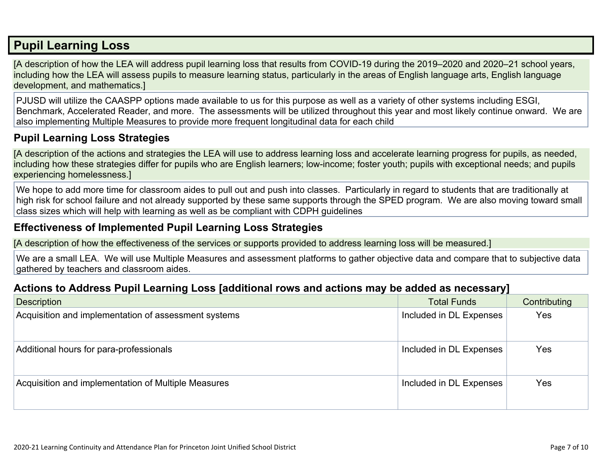### **Pupil [Learning](http://www.doc-tracking.com/screenshots/20LCP/Instructions/20LCPInstructions.htm#PupilLearningLoss) Loss**

[A description of how the LEA will address pupil learning loss that results from COVID-19 during the 2019–2020 and 2020–21 school years, including how the LEA will assess pupils to measure learning status, particularly in the areas of English language arts, English language development, and mathematics.]

PJUSD will utilize the CAASPP options made available to us for this purpose as well as a variety of other systems including ESGI, Benchmark, Accelerated Reader, and more. The assessments will be utilized throughout this year and most likely continue onward. We are also implementing Multiple Measures to provide more frequent longitudinal data for each child

#### **Pupil Learning Loss [Strategies](http://www.doc-tracking.com/screenshots/20LCP/Instructions/20LCPInstructions.htm#PupilLearningLoss1)**

[A description of the actions and strategies the LEA will use to address learning loss and accelerate learning progress for pupils, as needed, including how these strategies differ for pupils who are English learners; low-income; foster youth; pupils with exceptional needs; and pupils experiencing homelessness.]

We hope to add more time for classroom aides to pull out and push into classes. Particularly in regard to students that are traditionally at high risk for school failure and not already supported by these same supports through the SPED program. We are also moving toward small class sizes which will help with learning as well as be compliant with CDPH guidelines

#### **[Effectiveness](http://www.doc-tracking.com/screenshots/20LCP/Instructions/20LCPInstructions.htm#PupilLearningLoss2) of Implemented Pupil Learning Loss Strategies**

[A description of how the effectiveness of the services or supports provided to address learning loss will be measured.]

We are a small LEA. We will use Multiple Measures and assessment platforms to gather objective data and compare that to subjective data gathered by teachers and classroom aides.

#### **Actions to Address Pupil Learning Loss [additional rows and actions may be added as [necessary\]](http://www.doc-tracking.com/screenshots/20LCP/Instructions/20LCPInstructions.htm#PupilLearningLoss4)**

| <b>Description</b>                                   | <b>Total Funds</b>      | Contributing |
|------------------------------------------------------|-------------------------|--------------|
| Acquisition and implementation of assessment systems | Included in DL Expenses | Yes          |
| Additional hours for para-professionals              | Included in DL Expenses | Yes          |
| Acquisition and implementation of Multiple Measures  | Included in DL Expenses | Yes          |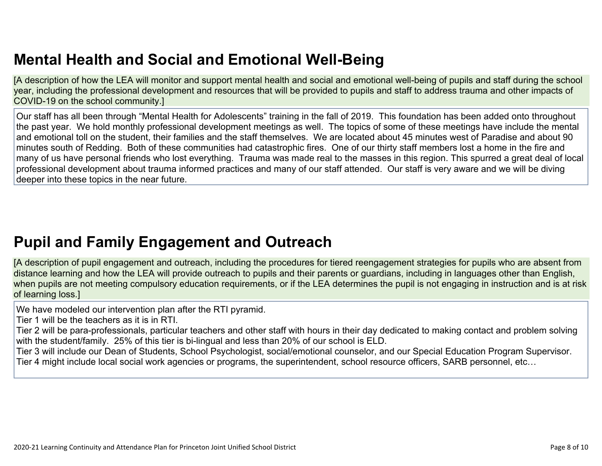# **Mental Health and Social and Emotional [Well-Being](http://www.doc-tracking.com/screenshots/20LCP/Instructions/20LCPInstructions.htm#MentalHealthandSocialandEmotional)**

[A description of how the LEA will monitor and support mental health and social and emotional well-being of pupils and staff during the school year, including the professional development and resources that will be provided to pupils and staff to address trauma and other impacts of COVID-19 on the school community.]

Our staff has all been through "Mental Health for Adolescents" training in the fall of 2019. This foundation has been added onto throughout the past year. We hold monthly professional development meetings as well. The topics of some of these meetings have include the mental and emotional toll on the student, their families and the staff themselves. We are located about 45 minutes west of Paradise and about 90 minutes south of Redding. Both of these communities had catastrophic fires. One of our thirty staff members lost a home in the fire and many of us have personal friends who lost everything. Trauma was made real to the masses in this region. This spurred a great deal of local professional development about trauma informed practices and many of our staff attended. Our staff is very aware and we will be diving deeper into these topics in the near future.

## **Pupil and Family [Engagement](http://www.doc-tracking.com/screenshots/20LCP/Instructions/20LCPInstructions.htm#PupilEngagementandOutreach) and Outreach**

[A description of pupil engagement and outreach, including the procedures for tiered reengagement strategies for pupils who are absent from distance learning and how the LEA will provide outreach to pupils and their parents or guardians, including in languages other than English, when pupils are not meeting compulsory education requirements, or if the LEA determines the pupil is not engaging in instruction and is at risk of learning loss.]

We have modeled our intervention plan after the RTI pyramid.

Tier 1 will be the teachers as it is in RTI.

Tier 2 will be para-professionals, particular teachers and other staff with hours in their day dedicated to making contact and problem solving with the student/family. 25% of this tier is bi-lingual and less than 20% of our school is ELD.

Tier 3 will include our Dean of Students, School Psychologist, social/emotional counselor, and our Special Education Program Supervisor. Tier 4 might include local social work agencies or programs, the superintendent, school resource officers, SARB personnel, etc…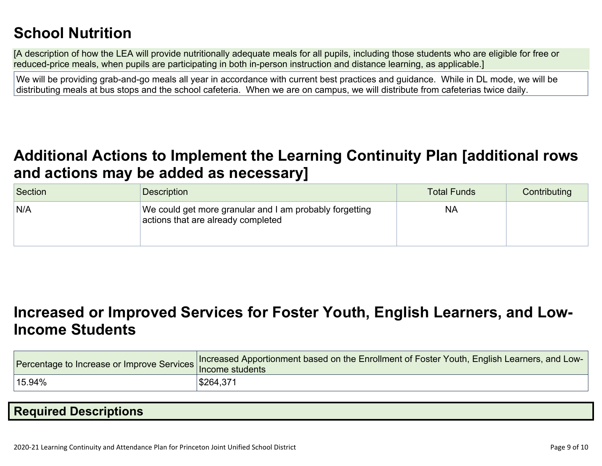# **School [Nutrition](http://www.doc-tracking.com/screenshots/20LCP/Instructions/20LCPInstructions.htm#SchoolNutrition)**

[A description of how the LEA will provide nutritionally adequate meals for all pupils, including those students who are eligible for free or reduced-price meals, when pupils are participating in both in-person instruction and distance learning, as applicable.]

We will be providing grab-and-go meals all year in accordance with current best practices and guidance. While in DL mode, we will be distributing meals at bus stops and the school cafeteria. When we are on campus, we will distribute from cafeterias twice daily.

### **Additional Actions to Implement the Learning Continuity Plan [\[additional](http://www.doc-tracking.com/screenshots/20LCP/Instructions/20LCPInstructions.htm#AdditionalActions) rows and actions may be added as [necessary\]](http://www.doc-tracking.com/screenshots/20LCP/Instructions/20LCPInstructions.htm#AdditionalActions)**

| Section | <b>Description</b>                                                                            | Total Funds | Contributing |
|---------|-----------------------------------------------------------------------------------------------|-------------|--------------|
| N/A     | We could get more granular and I am probably forgetting<br>actions that are already completed | <b>NA</b>   |              |

### **[Increased](http://www.doc-tracking.com/screenshots/20LCP/Instructions/20LCPInstructions.htm#IncreasedorImprovedServices) or Improved Services for Foster Youth, English Learners, and Low-Income [Students](http://www.doc-tracking.com/screenshots/20LCP/Instructions/20LCPInstructions.htm#IncreasedorImprovedServices)**

|           | Tercentage to Increase or Improve Services Increased Apportionment based on the Enrollment of Foster Youth, English Learners, and Luter of Texter Youth, English Learners, and Luter |
|-----------|--------------------------------------------------------------------------------------------------------------------------------------------------------------------------------------|
| $15.94\%$ | <sup>∣</sup> \$264,371                                                                                                                                                               |

### **Required [Descriptions](http://www.doc-tracking.com/screenshots/20LCP/Instructions/20LCPInstructions.htm#RequiredDescriptions)**